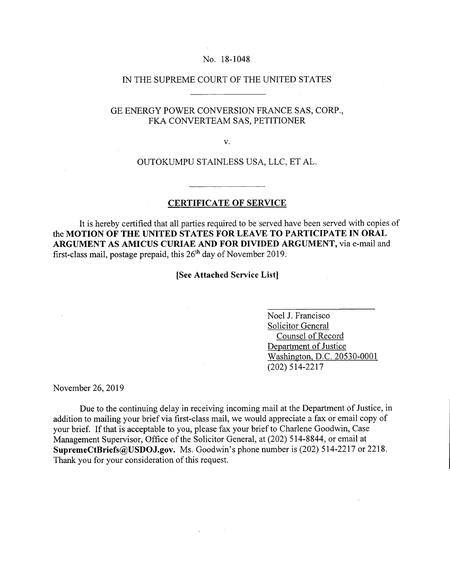#### No. 18-1048

## IN THE SUPREME COURT OF THE UNITED STATES

# GE ENERGY POWER CONVERSION FRANCE SAS, CORP., FKA CONVERTEAM SAS, PETITIONER

V.

### OUTOKUMPU STAINLESS USA, LLC, ET AL.

## **CERTIFICATE OF SERVICE**

It is hereby certified that all parties required to be served have been served with copies of **the MOTION OF THE UNITED STATES FOR LEAVE TO PARTICIPATE IN ORAL ARGUMENT AS AMICUS CURIAE AND FOR DIVIDED ARGUMENT,** via e-mail and first-class mail, postage prepaid, this  $26<sup>th</sup>$  day of November 2019.

**[See Attached Service List]** 

Noel J. Francisco Solicitor General Counsel of Record Department of Justice Washington, D.C. 20530-0001 (202) 514-2217

November 26, 2019

Due to the continuing delay in receiving incoming mail at the Department of Justice, in addition to mailing your brief via first-class mail, we would appreciate a fax or email copy of your brief. If that is acceptable to you, please fax your brief to Charlene Goodwin, Case Management Supervisor, Office of the Solicitor General, at (202) 514-8844, or email at **SupremeCtBriefs@USDOJ.gov.** Ms. Goodwin's phone number is (202) 514-2217 or 2218. Thank you for your consideration of this request.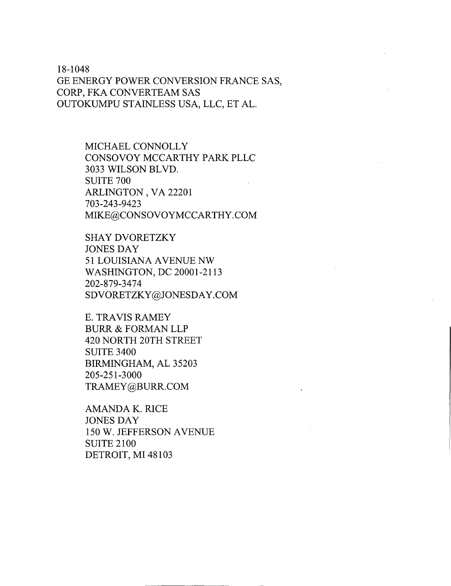18-1048 GE ENERGY POWER CONVERSION FRANCE SAS, CORP, FKA CONVERTEAM SAS OUTOKUMPU STAINLESS USA, LLC, ET AL.

> MICHAEL CONNOLLY CONSOVOY MCCARTHY PARK PLLC 3033 WILSON BLVD. SUITE 700 ARLINGTON, VA 22201 703-243-9423 MIKE@CONSOVOYMCCARTHY.COM

SHAY DVORETZKY JONES DAY 51 LOUISIANA AVENUE NW WASHINGTON, DC 20001-2113 202-879-3474 SDVORETZKY@JONESDAY.COM

E. TRAVIS RAMEY BURR & FORMAN LLP 420 NORTH 20TH STREET SUITE 3400 BIRMINGHAM, AL 35203 205-251-3000 TRAMEY@BURR.COM

AMANDA K. RICE JONES DAY 150 W. JEFFERSON AVENUE SUITE 2100 DETROIT, MI 48103